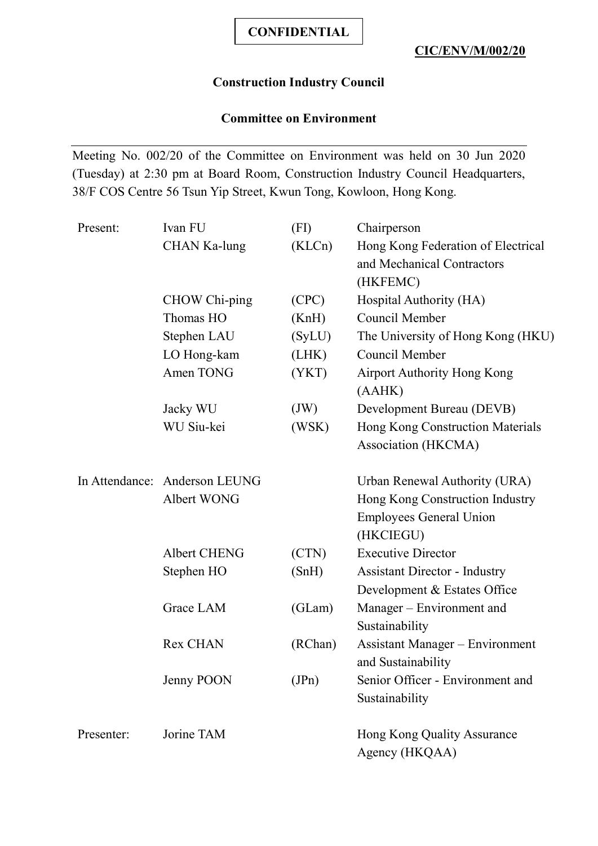## **Construction Industry Council**

# **Committee on Environment**

Meeting No. 002/20 of the Committee on Environment was held on 30 Jun 2020 (Tuesday) at 2:30 pm at Board Room, Construction Industry Council Headquarters, 38/F COS Centre 56 Tsun Yip Street, Kwun Tong, Kowloon, Hong Kong.

| Ivan FU                       | (FI)    | Chairperson                            |
|-------------------------------|---------|----------------------------------------|
| <b>CHAN Ka-lung</b>           | (KLCn)  | Hong Kong Federation of Electrical     |
|                               |         | and Mechanical Contractors             |
|                               |         | (HKFEMC)                               |
| CHOW Chi-ping                 | (CPC)   | Hospital Authority (HA)                |
| Thomas HO                     | (KnH)   | Council Member                         |
| Stephen LAU                   | (SyLU)  | The University of Hong Kong (HKU)      |
| LO Hong-kam                   | (LHK)   | Council Member                         |
| Amen TONG                     | (YKT)   | <b>Airport Authority Hong Kong</b>     |
|                               |         | (AAHK)                                 |
| Jacky WU                      | (JW)    | Development Bureau (DEVB)              |
| WU Siu-kei                    | (WSK)   | Hong Kong Construction Materials       |
|                               |         | Association (HKCMA)                    |
| In Attendance: Anderson LEUNG |         | Urban Renewal Authority (URA)          |
| Albert WONG                   |         | Hong Kong Construction Industry        |
|                               |         | <b>Employees General Union</b>         |
|                               |         | (HKCIEGU)                              |
| <b>Albert CHENG</b>           | (CTN)   | <b>Executive Director</b>              |
| Stephen HO                    | (SnH)   | <b>Assistant Director - Industry</b>   |
|                               |         | Development & Estates Office           |
| Grace LAM                     | (GLam)  | Manager – Environment and              |
|                               |         | Sustainability                         |
| <b>Rex CHAN</b>               | (RChan) | <b>Assistant Manager – Environment</b> |
|                               |         | and Sustainability                     |
| Jenny POON                    | (JPn)   | Senior Officer - Environment and       |
|                               |         | Sustainability                         |
| Jorine TAM                    |         | Hong Kong Quality Assurance            |
|                               |         | Agency (HKQAA)                         |
|                               |         |                                        |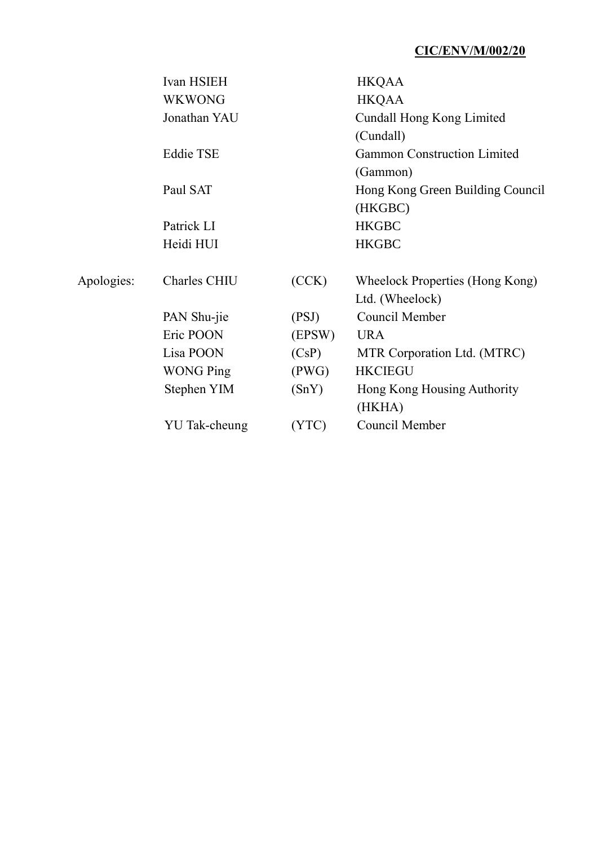|            | Ivan HSIEH       |        | <b>HKQAA</b>                       |
|------------|------------------|--------|------------------------------------|
|            | <b>WKWONG</b>    |        | <b>HKQAA</b>                       |
|            | Jonathan YAU     |        | Cundall Hong Kong Limited          |
|            |                  |        | (Cundall)                          |
|            | <b>Eddie TSE</b> |        | <b>Gammon Construction Limited</b> |
|            |                  |        | (Gammon)                           |
|            | Paul SAT         |        | Hong Kong Green Building Council   |
|            |                  |        | (HKGBC)                            |
|            | Patrick LI       |        | <b>HKGBC</b>                       |
|            | Heidi HUI        |        | <b>HKGBC</b>                       |
| Apologies: | Charles CHIU     | (CCK)  | Wheelock Properties (Hong Kong)    |
|            |                  |        | Ltd. (Wheelock)                    |
|            | PAN Shu-jie      | (PSJ)  | Council Member                     |
|            | Eric POON        | (EPSW) | <b>URA</b>                         |
|            | Lisa POON        | (CsP)  | MTR Corporation Ltd. (MTRC)        |
|            | <b>WONG Ping</b> | (PWG)  | <b>HKCIEGU</b>                     |
|            | Stephen YIM      | (SnY)  | Hong Kong Housing Authority        |
|            |                  |        | (HKHA)                             |
|            | YU Tak-cheung    | (YTC)  | Council Member                     |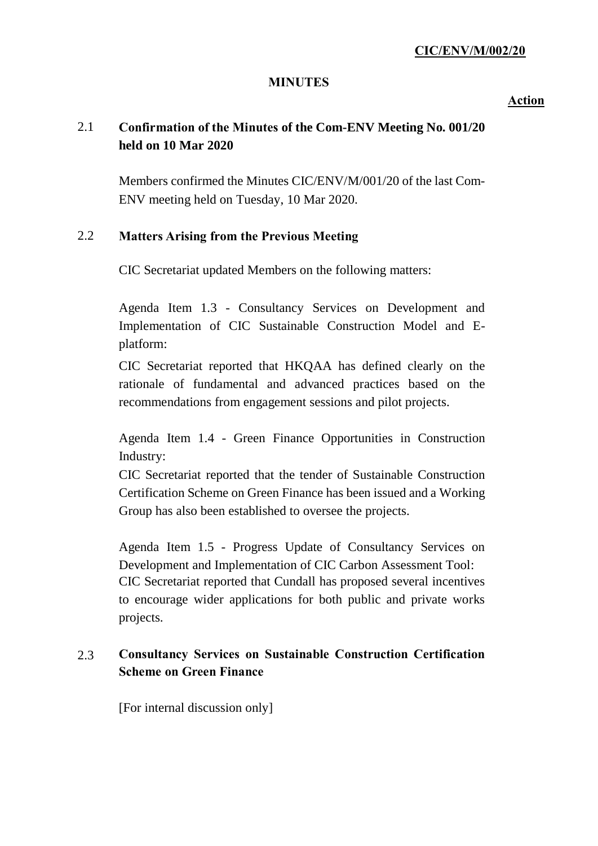#### **MINUTES**

**Action**

# 2.1 **Confirmation of the Minutes of the Com-ENV Meeting No. 001/20 held on 10 Mar 2020**

Members confirmed the Minutes CIC/ENV/M/001/20 of the last Com-ENV meeting held on Tuesday, 10 Mar 2020.

### 2.2 **Matters Arising from the Previous Meeting**

CIC Secretariat updated Members on the following matters:

Agenda Item 1.3 - Consultancy Services on Development and Implementation of CIC Sustainable Construction Model and Eplatform:

CIC Secretariat reported that HKQAA has defined clearly on the rationale of fundamental and advanced practices based on the recommendations from engagement sessions and pilot projects.

Agenda Item 1.4 - Green Finance Opportunities in Construction Industry:

CIC Secretariat reported that the tender of Sustainable Construction Certification Scheme on Green Finance has been issued and a Working Group has also been established to oversee the projects.

Agenda Item 1.5 - Progress Update of Consultancy Services on Development and Implementation of CIC Carbon Assessment Tool: CIC Secretariat reported that Cundall has proposed several incentives to encourage wider applications for both public and private works projects.

# 2.3 **Consultancy Services on Sustainable Construction Certification Scheme on Green Finance**

[For internal discussion only]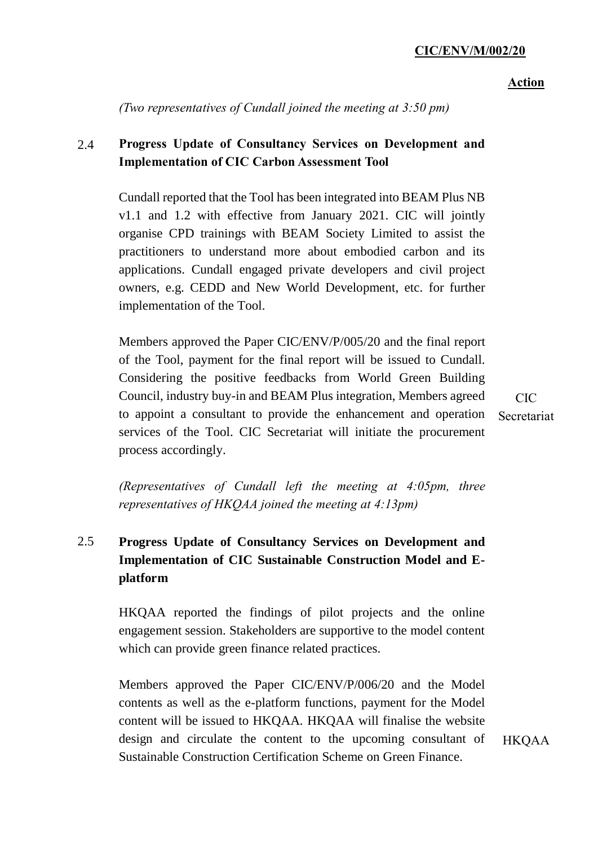#### **Action**

*(Two representatives of Cundall joined the meeting at 3:50 pm)*

# 2.4 **Progress Update of Consultancy Services on Development and Implementation of CIC Carbon Assessment Tool**

Cundall reported that the Tool has been integrated into BEAM Plus NB v1.1 and 1.2 with effective from January 2021. CIC will jointly organise CPD trainings with BEAM Society Limited to assist the practitioners to understand more about embodied carbon and its applications. Cundall engaged private developers and civil project owners, e.g. CEDD and New World Development, etc. for further implementation of the Tool.

Members approved the Paper CIC/ENV/P/005/20 and the final report of the Tool, payment for the final report will be issued to Cundall. Considering the positive feedbacks from World Green Building Council, industry buy-in and BEAM Plus integration, Members agreed to appoint a consultant to provide the enhancement and operation services of the Tool. CIC Secretariat will initiate the procurement process accordingly.

CIC Secretariat

*(Representatives of Cundall left the meeting at 4:05pm, three representatives of HKQAA joined the meeting at 4:13pm)*

# 2.5 **Progress Update of Consultancy Services on Development and Implementation of CIC Sustainable Construction Model and Eplatform**

HKQAA reported the findings of pilot projects and the online engagement session. Stakeholders are supportive to the model content which can provide green finance related practices.

Members approved the Paper CIC/ENV/P/006/20 and the Model contents as well as the e-platform functions, payment for the Model content will be issued to HKQAA. HKQAA will finalise the website design and circulate the content to the upcoming consultant of Sustainable Construction Certification Scheme on Green Finance.

HKQAA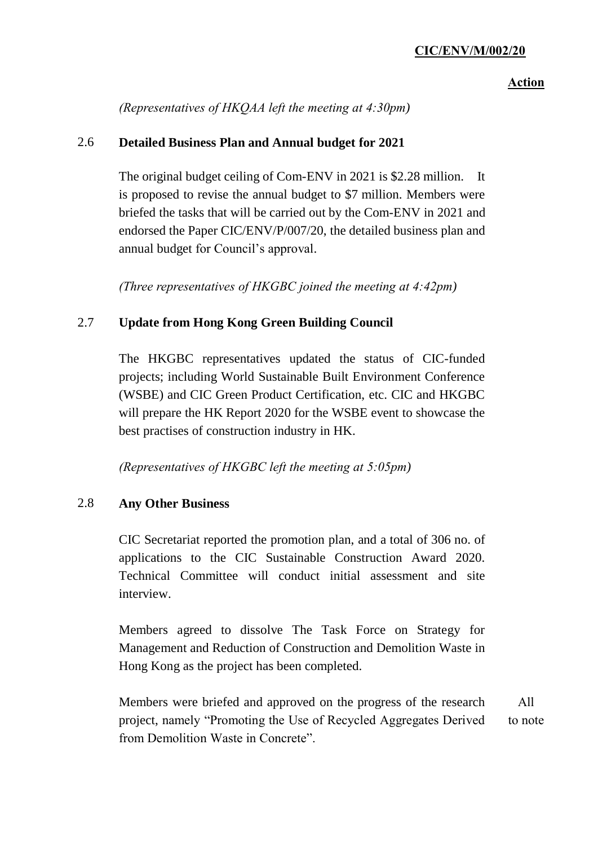### **Action**

*(Representatives of HKQAA left the meeting at 4:30pm)*

### 2.6 **Detailed Business Plan and Annual budget for 2021**

The original budget ceiling of Com-ENV in 2021 is \$2.28 million. It is proposed to revise the annual budget to \$7 million. Members were briefed the tasks that will be carried out by the Com-ENV in 2021 and endorsed the Paper CIC/ENV/P/007/20, the detailed business plan and annual budget for Council's approval.

*(Three representatives of HKGBC joined the meeting at 4:42pm)*

### 2.7 **Update from Hong Kong Green Building Council**

The HKGBC representatives updated the status of CIC-funded projects; including World Sustainable Built Environment Conference (WSBE) and CIC Green Product Certification, etc. CIC and HKGBC will prepare the HK Report 2020 for the WSBE event to showcase the best practises of construction industry in HK.

*(Representatives of HKGBC left the meeting at 5:05pm)*

### 2.8 **Any Other Business**

CIC Secretariat reported the promotion plan, and a total of 306 no. of applications to the CIC Sustainable Construction Award 2020. Technical Committee will conduct initial assessment and site interview.

Members agreed to dissolve The Task Force on Strategy for Management and Reduction of Construction and Demolition Waste in Hong Kong as the project has been completed.

Members were briefed and approved on the progress of the research project, namely "Promoting the Use of Recycled Aggregates Derived from Demolition Waste in Concrete". All to note